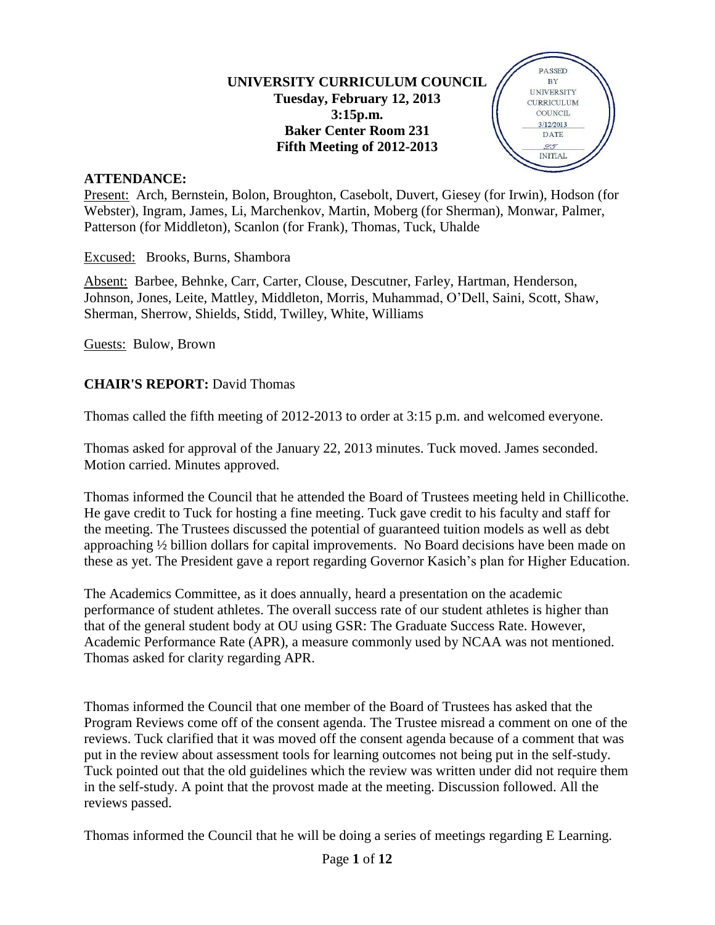## **UNIVERSITY CURRICULUM COUNCIL Tuesday, February 12, 2013 3:15p.m. Baker Center Room 231 Fifth Meeting of 2012-2013**



#### **ATTENDANCE:**

Present: Arch, Bernstein, Bolon, Broughton, Casebolt, Duvert, Giesey (for Irwin), Hodson (for Webster), Ingram, James, Li, Marchenkov, Martin, Moberg (for Sherman), Monwar, Palmer, Patterson (for Middleton), Scanlon (for Frank), Thomas, Tuck, Uhalde

Excused: Brooks, Burns, Shambora

Absent: Barbee, Behnke, Carr, Carter, Clouse, Descutner, Farley, Hartman, Henderson, Johnson, Jones, Leite, Mattley, Middleton, Morris, Muhammad, O'Dell, Saini, Scott, Shaw, Sherman, Sherrow, Shields, Stidd, Twilley, White, Williams

Guests: Bulow, Brown

### **CHAIR'S REPORT:** David Thomas

Thomas called the fifth meeting of 2012-2013 to order at 3:15 p.m. and welcomed everyone.

Thomas asked for approval of the January 22, 2013 minutes. Tuck moved. James seconded. Motion carried. Minutes approved.

Thomas informed the Council that he attended the Board of Trustees meeting held in Chillicothe. He gave credit to Tuck for hosting a fine meeting. Tuck gave credit to his faculty and staff for the meeting. The Trustees discussed the potential of guaranteed tuition models as well as debt approaching ½ billion dollars for capital improvements. No Board decisions have been made on these as yet. The President gave a report regarding Governor Kasich's plan for Higher Education.

The Academics Committee, as it does annually, heard a presentation on the academic performance of student athletes. The overall success rate of our student athletes is higher than that of the general student body at OU using GSR: The Graduate Success Rate. However, Academic Performance Rate (APR), a measure commonly used by NCAA was not mentioned. Thomas asked for clarity regarding APR.

Thomas informed the Council that one member of the Board of Trustees has asked that the Program Reviews come off of the consent agenda. The Trustee misread a comment on one of the reviews. Tuck clarified that it was moved off the consent agenda because of a comment that was put in the review about assessment tools for learning outcomes not being put in the self-study. Tuck pointed out that the old guidelines which the review was written under did not require them in the self-study. A point that the provost made at the meeting. Discussion followed. All the reviews passed.

Thomas informed the Council that he will be doing a series of meetings regarding E Learning.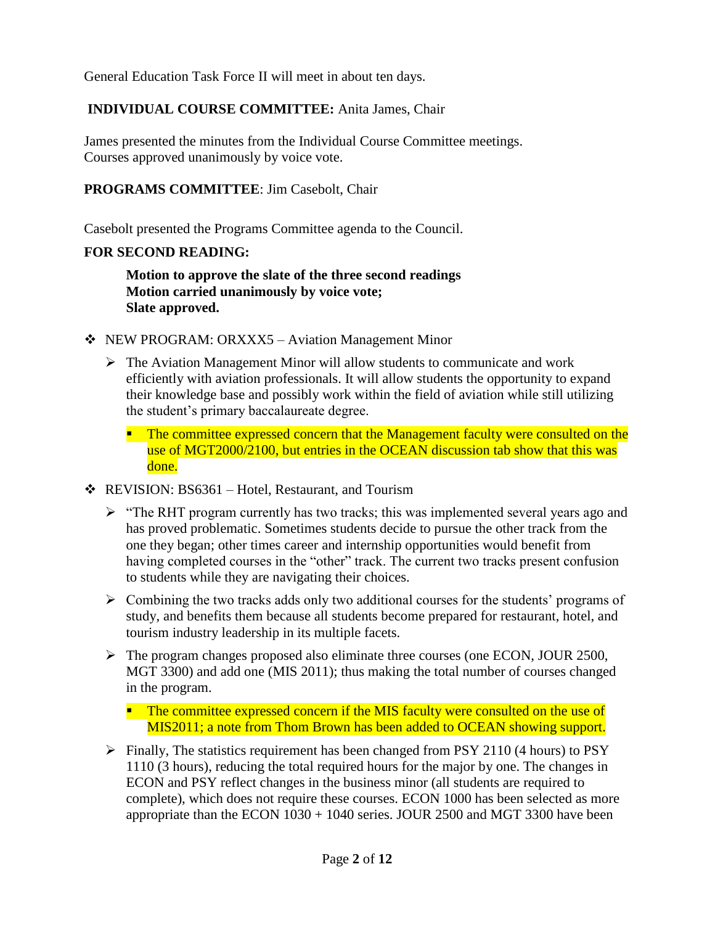General Education Task Force II will meet in about ten days.

# **INDIVIDUAL COURSE COMMITTEE:** Anita James, Chair

James presented the minutes from the Individual Course Committee meetings. Courses approved unanimously by voice vote.

## **PROGRAMS COMMITTEE**: Jim Casebolt, Chair

Casebolt presented the Programs Committee agenda to the Council.

## **FOR SECOND READING:**

**Motion to approve the slate of the three second readings Motion carried unanimously by voice vote; Slate approved.**

- NEW PROGRAM: ORXXX5 Aviation Management Minor
	- $\triangleright$  The Aviation Management Minor will allow students to communicate and work efficiently with aviation professionals. It will allow students the opportunity to expand their knowledge base and possibly work within the field of aviation while still utilizing the student's primary baccalaureate degree.
		- **The committee expressed concern that the Management faculty were consulted on the** use of MGT2000/2100, but entries in the OCEAN discussion tab show that this was done.
- REVISION: BS6361 Hotel, Restaurant, and Tourism
	- $\triangleright$  "The RHT program currently has two tracks; this was implemented several years ago and has proved problematic. Sometimes students decide to pursue the other track from the one they began; other times career and internship opportunities would benefit from having completed courses in the "other" track. The current two tracks present confusion to students while they are navigating their choices.
	- $\triangleright$  Combining the two tracks adds only two additional courses for the students' programs of study, and benefits them because all students become prepared for restaurant, hotel, and tourism industry leadership in its multiple facets.
	- $\triangleright$  The program changes proposed also eliminate three courses (one ECON, JOUR 2500, MGT 3300) and add one (MIS 2011); thus making the total number of courses changed in the program.

 $\blacksquare$  The committee expressed concern if the MIS faculty were consulted on the use of MIS2011; a note from Thom Brown has been added to OCEAN showing support.

 $\triangleright$  Finally, The statistics requirement has been changed from PSY 2110 (4 hours) to PSY 1110 (3 hours), reducing the total required hours for the major by one. The changes in ECON and PSY reflect changes in the business minor (all students are required to complete), which does not require these courses. ECON 1000 has been selected as more appropriate than the ECON 1030 + 1040 series. JOUR 2500 and MGT 3300 have been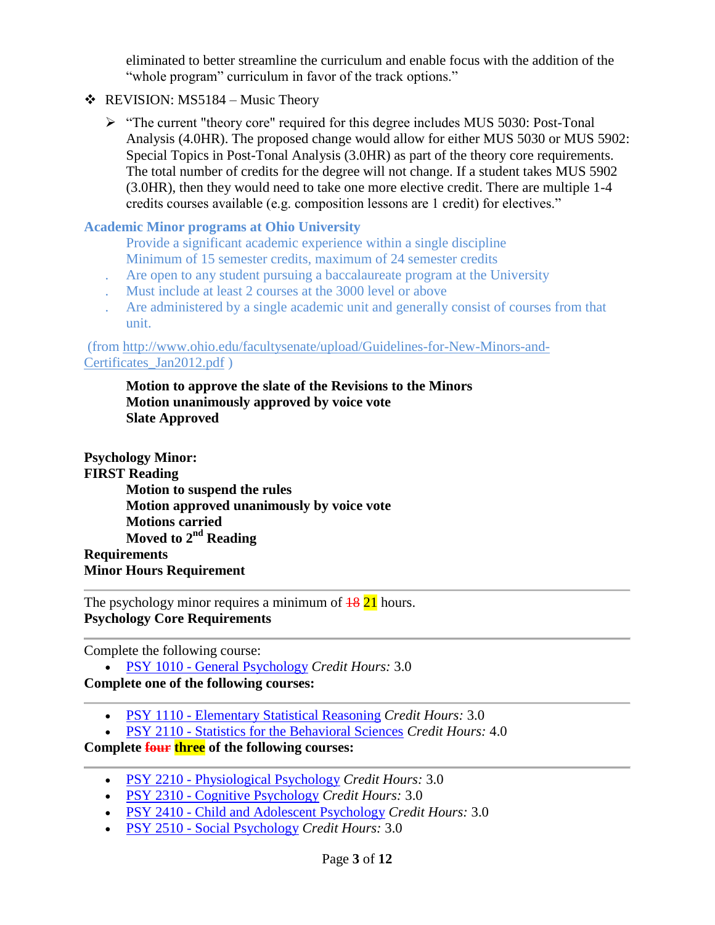eliminated to better streamline the curriculum and enable focus with the addition of the "whole program" curriculum in favor of the track options."

- $\triangleleft$  REVISION: MS5184 Music Theory
	- $\triangleright$  "The current "theory core" required for this degree includes MUS 5030: Post-Tonal Analysis (4.0HR). The proposed change would allow for either MUS 5030 or MUS 5902: Special Topics in Post-Tonal Analysis (3.0HR) as part of the theory core requirements. The total number of credits for the degree will not change. If a student takes MUS 5902 (3.0HR), then they would need to take one more elective credit. There are multiple 1-4 credits courses available (e.g. composition lessons are 1 credit) for electives."

### **Academic Minor programs at Ohio University**

- Provide a significant academic experience within a single discipline Minimum of 15 semester credits, maximum of 24 semester credits
- . Are open to any student pursuing a baccalaureate program at the University
- . Must include at least 2 courses at the 3000 level or above
- . Are administered by a single academic unit and generally consist of courses from that unit.

#### (from [http://www.ohio.edu/facultysenate/upload/Guidelines-for-New-Minors-and-](http://www.ohio.edu/facultysenate/upload/Guidelines-for-New-Minors-and-Certificates_Jan2012.pdf)[Certificates\\_Jan2012.pdf](http://www.ohio.edu/facultysenate/upload/Guidelines-for-New-Minors-and-Certificates_Jan2012.pdf) )

**Motion to approve the slate of the Revisions to the Minors Motion unanimously approved by voice vote Slate Approved**

# **Psychology Minor:**

**FIRST Reading Motion to suspend the rules Motion approved unanimously by voice vote Motions carried Moved to 2nd Reading Requirements Minor Hours Requirement**

The psychology minor requires a minimum of  $\frac{18}{21}$  hours. **Psychology Core Requirements**

Complete the following course:

PSY 1010 - [General Psychology](http://www.catalogs.ohio.edu/preview_program.php?catoid=27&poid=6196&returnto=1488) *Credit Hours:* 3.0

## **Complete one of the following courses:**

- PSY 1110 [Elementary Statistical Reasoning](http://www.catalogs.ohio.edu/preview_program.php?catoid=27&poid=6196&returnto=1488) *Credit Hours:* 3.0
- PSY 2110 [Statistics for the Behavioral Sciences](http://www.catalogs.ohio.edu/preview_program.php?catoid=27&poid=6196&returnto=1488) *Credit Hours:* 4.0

### **Complete four three of the following courses:**

- PSY 2210 [Physiological Psychology](http://www.catalogs.ohio.edu/preview_program.php?catoid=27&poid=6196&returnto=1488) *Credit Hours:* 3.0
- PSY 2310 [Cognitive Psychology](http://www.catalogs.ohio.edu/preview_program.php?catoid=27&poid=6196&returnto=1488) *Credit Hours:* 3.0
- PSY 2410 [Child and Adolescent Psychology](http://www.catalogs.ohio.edu/preview_program.php?catoid=27&poid=6196&returnto=1488) *Credit Hours:* 3.0
- PSY 2510 [Social Psychology](http://www.catalogs.ohio.edu/preview_program.php?catoid=27&poid=6196&returnto=1488) *Credit Hours:* 3.0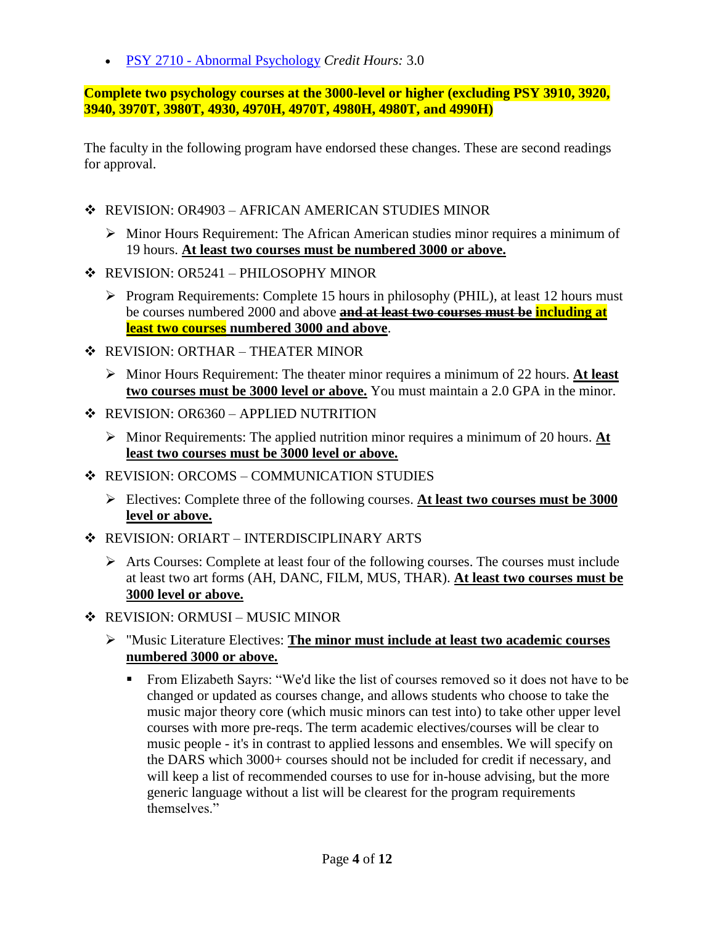PSY 2710 - [Abnormal Psychology](http://www.catalogs.ohio.edu/preview_program.php?catoid=27&poid=6196&returnto=1488) *Credit Hours:* 3.0

**Complete two psychology courses at the 3000-level or higher (excluding PSY 3910, 3920, 3940, 3970T, 3980T, 4930, 4970H, 4970T, 4980H, 4980T, and 4990H)**

The faculty in the following program have endorsed these changes. These are second readings for approval.

- REVISION: OR4903 AFRICAN AMERICAN STUDIES MINOR
	- $\triangleright$  Minor Hours Requirement: The African American studies minor requires a minimum of 19 hours. **At least two courses must be numbered 3000 or above.**
- REVISION: OR5241 PHILOSOPHY MINOR
	- $\triangleright$  Program Requirements: Complete 15 hours in philosophy (PHIL), at least 12 hours must be courses numbered 2000 and above **and at least two courses must be including at least two courses numbered 3000 and above**.
- REVISION: ORTHAR THEATER MINOR
	- Minor Hours Requirement: The theater minor requires a minimum of 22 hours. **At least two courses must be 3000 level or above.** You must maintain a 2.0 GPA in the minor.
- $\div$  REVISION: OR6360 APPLIED NUTRITION
	- Minor Requirements: The applied nutrition minor requires a minimum of 20 hours. **At least two courses must be 3000 level or above.**
- ❖ REVISION: ORCOMS COMMUNICATION STUDIES
	- Electives: Complete three of the following courses. **At least two courses must be 3000 level or above.**
- REVISION: ORIART INTERDISCIPLINARY ARTS
	- $\triangleright$  Arts Courses: Complete at least four of the following courses. The courses must include at least two art forms (AH, DANC, FILM, MUS, THAR). **At least two courses must be 3000 level or above.**
- ❖ REVISION: ORMUSI MUSIC MINOR
	- "Music Literature Electives: **The minor must include at least two academic courses numbered 3000 or above.**
		- From Elizabeth Sayrs: "We'd like the list of courses removed so it does not have to be changed or updated as courses change, and allows students who choose to take the music major theory core (which music minors can test into) to take other upper level courses with more pre-reqs. The term academic electives/courses will be clear to music people - it's in contrast to applied lessons and ensembles. We will specify on the DARS which 3000+ courses should not be included for credit if necessary, and will keep a list of recommended courses to use for in-house advising, but the more generic language without a list will be clearest for the program requirements themselves."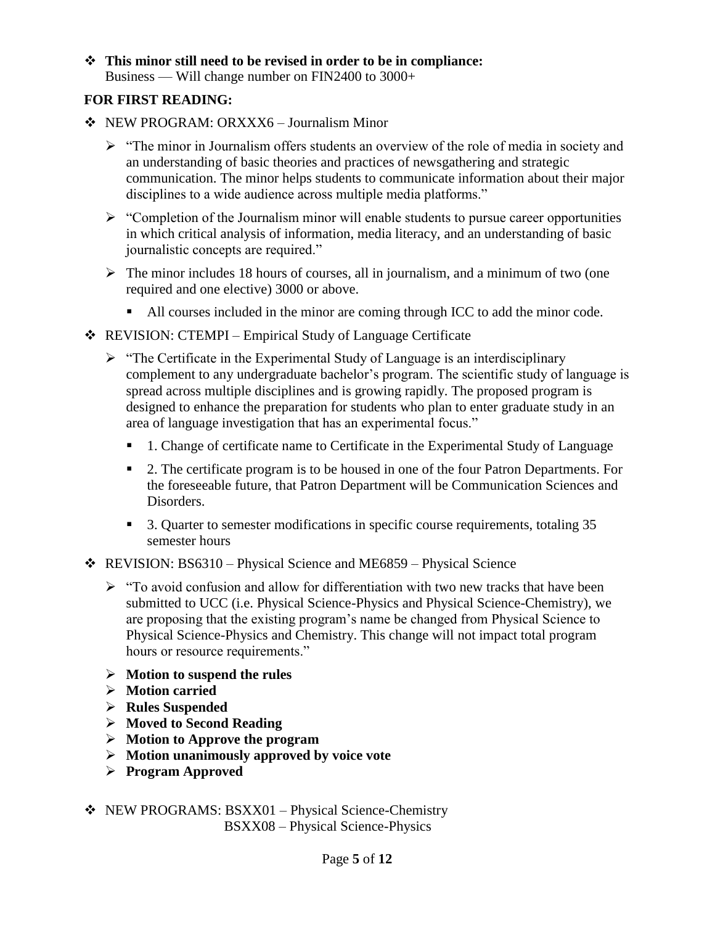## **This minor still need to be revised in order to be in compliance:** Business — Will change number on FIN2400 to 3000+

## **FOR FIRST READING:**

- NEW PROGRAM: ORXXX6 Journalism Minor
	- $\triangleright$  "The minor in Journalism offers students an overview of the role of media in society and an understanding of basic theories and practices of newsgathering and strategic communication. The minor helps students to communicate information about their major disciplines to a wide audience across multiple media platforms."
	- $\triangleright$  "Completion of the Journalism minor will enable students to pursue career opportunities in which critical analysis of information, media literacy, and an understanding of basic journalistic concepts are required."
	- $\triangleright$  The minor includes 18 hours of courses, all in journalism, and a minimum of two (one required and one elective) 3000 or above.
		- All courses included in the minor are coming through ICC to add the minor code.
- REVISION: CTEMPI Empirical Study of Language Certificate
	- $\triangleright$  "The Certificate in the Experimental Study of Language is an interdisciplinary complement to any undergraduate bachelor's program. The scientific study of language is spread across multiple disciplines and is growing rapidly. The proposed program is designed to enhance the preparation for students who plan to enter graduate study in an area of language investigation that has an experimental focus."
		- 1. Change of certificate name to Certificate in the Experimental Study of Language
		- 2. The certificate program is to be housed in one of the four Patron Departments. For the foreseeable future, that Patron Department will be Communication Sciences and Disorders.
		- <sup>3</sup> 3. Quarter to semester modifications in specific course requirements, totaling 35 semester hours
- REVISION: BS6310 Physical Science and ME6859 Physical Science
	- $\triangleright$  "To avoid confusion and allow for differentiation with two new tracks that have been submitted to UCC (i.e. Physical Science-Physics and Physical Science-Chemistry), we are proposing that the existing program's name be changed from Physical Science to Physical Science-Physics and Chemistry. This change will not impact total program hours or resource requirements."
	- **Motion to suspend the rules**
	- **Motion carried**
	- **Rules Suspended**
	- **Moved to Second Reading**
	- **Motion to Approve the program**
	- **Motion unanimously approved by voice vote**
	- **Program Approved**
- NEW PROGRAMS: BSXX01 Physical Science-Chemistry BSXX08 – Physical Science-Physics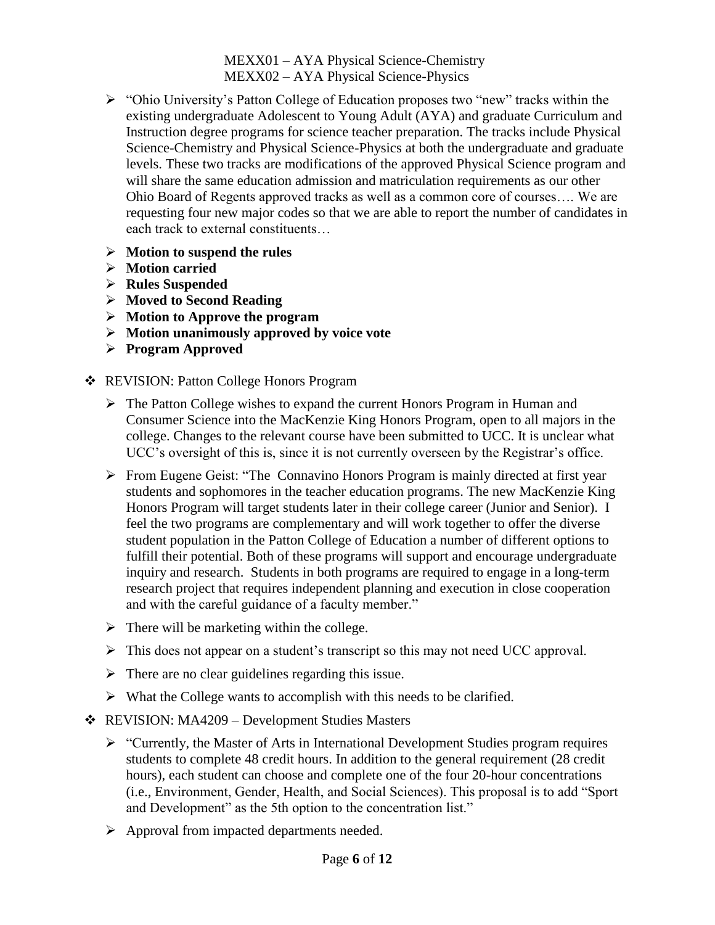MEXX01 – AYA Physical Science-Chemistry MEXX02 – AYA Physical Science-Physics

- "Ohio University's Patton College of Education proposes two "new" tracks within the existing undergraduate Adolescent to Young Adult (AYA) and graduate Curriculum and Instruction degree programs for science teacher preparation. The tracks include Physical Science-Chemistry and Physical Science-Physics at both the undergraduate and graduate levels. These two tracks are modifications of the approved Physical Science program and will share the same education admission and matriculation requirements as our other Ohio Board of Regents approved tracks as well as a common core of courses…. We are requesting four new major codes so that we are able to report the number of candidates in each track to external constituents…
- **Motion to suspend the rules**
- **Motion carried**
- **Rules Suspended**
- **Moved to Second Reading**
- **Motion to Approve the program**
- **Motion unanimously approved by voice vote**
- **Program Approved**
- REVISION: Patton College Honors Program
	- $\triangleright$  The Patton College wishes to expand the current Honors Program in Human and Consumer Science into the MacKenzie King Honors Program, open to all majors in the college. Changes to the relevant course have been submitted to UCC. It is unclear what UCC's oversight of this is, since it is not currently overseen by the Registrar's office.
	- From Eugene Geist: "The Connavino Honors Program is mainly directed at first year students and sophomores in the teacher education programs. The new MacKenzie King Honors Program will target students later in their college career (Junior and Senior). I feel the two programs are complementary and will work together to offer the diverse student population in the Patton College of Education a number of different options to fulfill their potential. Both of these programs will support and encourage undergraduate inquiry and research. Students in both programs are required to engage in a long-term research project that requires independent planning and execution in close cooperation and with the careful guidance of a faculty member."
	- $\triangleright$  There will be marketing within the college.
	- $\triangleright$  This does not appear on a student's transcript so this may not need UCC approval.
	- $\triangleright$  There are no clear guidelines regarding this issue.
	- $\triangleright$  What the College wants to accomplish with this needs to be clarified.
- REVISION: MA4209 Development Studies Masters
	- $\triangleright$  "Currently, the Master of Arts in International Development Studies program requires students to complete 48 credit hours. In addition to the general requirement (28 credit hours), each student can choose and complete one of the four 20-hour concentrations (i.e., Environment, Gender, Health, and Social Sciences). This proposal is to add "Sport and Development" as the 5th option to the concentration list."
	- $\triangleright$  Approval from impacted departments needed.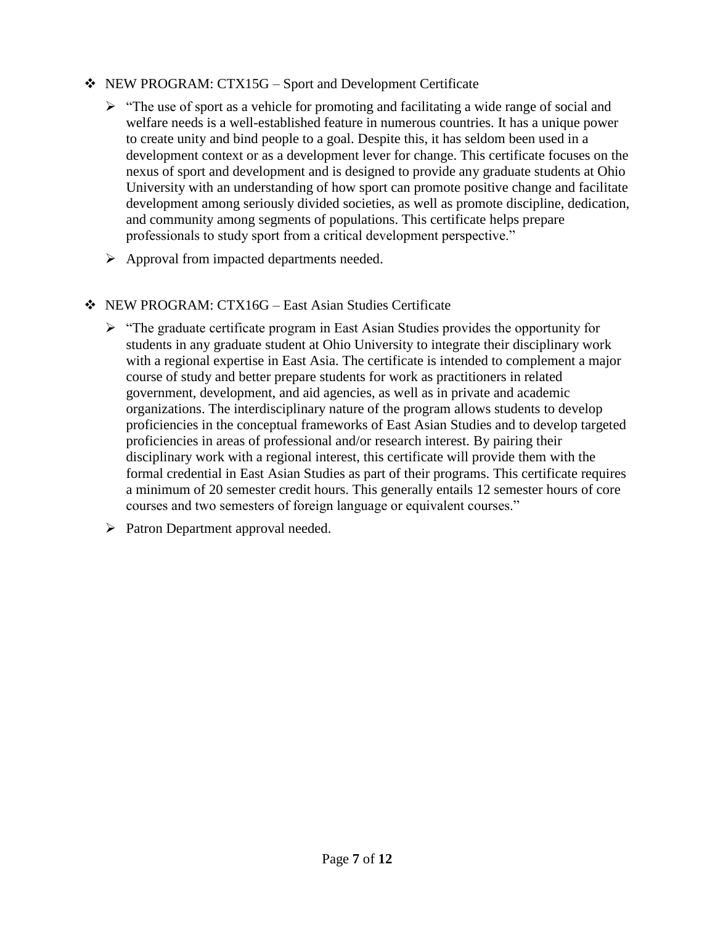## NEW PROGRAM: CTX15G – Sport and Development Certificate

- $\triangleright$  "The use of sport as a vehicle for promoting and facilitating a wide range of social and welfare needs is a well-established feature in numerous countries. It has a unique power to create unity and bind people to a goal. Despite this, it has seldom been used in a development context or as a development lever for change. This certificate focuses on the nexus of sport and development and is designed to provide any graduate students at Ohio University with an understanding of how sport can promote positive change and facilitate development among seriously divided societies, as well as promote discipline, dedication, and community among segments of populations. This certificate helps prepare professionals to study sport from a critical development perspective."
- $\triangleright$  Approval from impacted departments needed.
- NEW PROGRAM: CTX16G East Asian Studies Certificate
	- $\triangleright$  "The graduate certificate program in East Asian Studies provides the opportunity for students in any graduate student at Ohio University to integrate their disciplinary work with a regional expertise in East Asia. The certificate is intended to complement a major course of study and better prepare students for work as practitioners in related government, development, and aid agencies, as well as in private and academic organizations. The interdisciplinary nature of the program allows students to develop proficiencies in the conceptual frameworks of East Asian Studies and to develop targeted proficiencies in areas of professional and/or research interest. By pairing their disciplinary work with a regional interest, this certificate will provide them with the formal credential in East Asian Studies as part of their programs. This certificate requires a minimum of 20 semester credit hours. This generally entails 12 semester hours of core courses and two semesters of foreign language or equivalent courses."
	- $\triangleright$  Patron Department approval needed.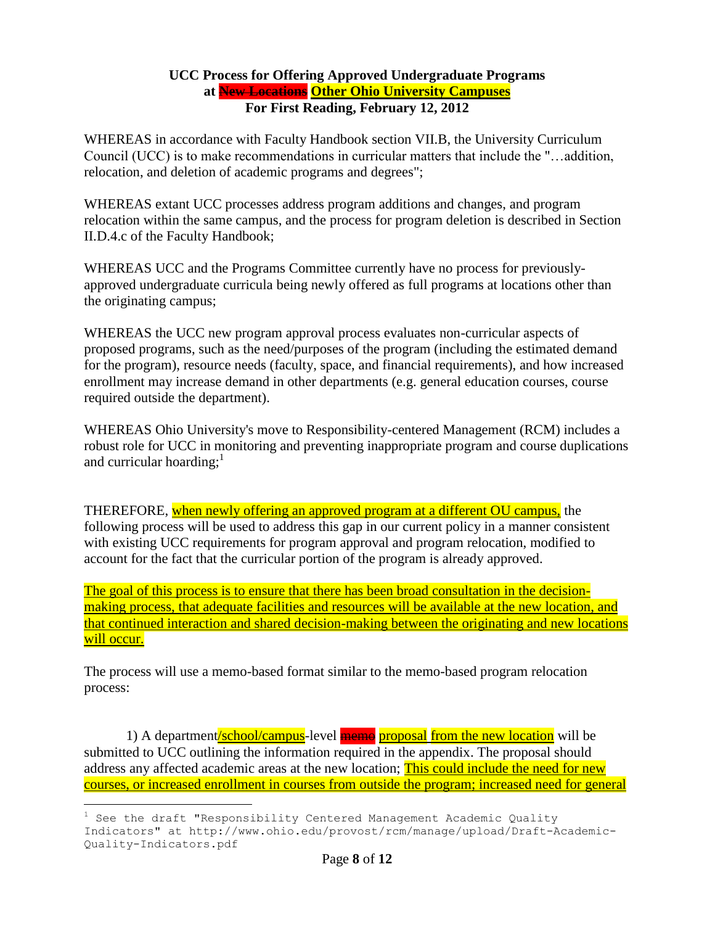#### **UCC Process for Offering Approved Undergraduate Programs at New Locations Other Ohio University Campuses For First Reading, February 12, 2012**

WHEREAS in accordance with Faculty Handbook section VII.B, the University Curriculum Council (UCC) is to make recommendations in curricular matters that include the "…addition, relocation, and deletion of academic programs and degrees";

WHEREAS extant UCC processes address program additions and changes, and program relocation within the same campus, and the process for program deletion is described in Section II.D.4.c of the Faculty Handbook;

WHEREAS UCC and the Programs Committee currently have no process for previouslyapproved undergraduate curricula being newly offered as full programs at locations other than the originating campus;

WHEREAS the UCC new program approval process evaluates non-curricular aspects of proposed programs, such as the need/purposes of the program (including the estimated demand for the program), resource needs (faculty, space, and financial requirements), and how increased enrollment may increase demand in other departments (e.g. general education courses, course required outside the department).

WHEREAS Ohio University's move to Responsibility-centered Management (RCM) includes a robust role for UCC in monitoring and preventing inappropriate program and course duplications and curricular hoarding; $<sup>1</sup>$ </sup>

THEREFORE, when newly offering an approved program at a different OU campus, the following process will be used to address this gap in our current policy in a manner consistent with existing UCC requirements for program approval and program relocation, modified to account for the fact that the curricular portion of the program is already approved.

The goal of this process is to ensure that there has been broad consultation in the decisionmaking process, that adequate facilities and resources will be available at the new location, and that continued interaction and shared decision-making between the originating and new locations will occur.

The process will use a memo-based format similar to the memo-based program relocation process:

1) A department/school/campus-level memo proposal from the new location will be submitted to UCC outlining the information required in the appendix. The proposal should address any affected academic areas at the new location; This could include the need for new courses, or increased enrollment in courses from outside the program; increased need for general

a<br>B

 $1$  See the draft "Responsibility Centered Management Academic Quality Indicators" at http://www.ohio.edu/provost/rcm/manage/upload/Draft-Academic-Quality-Indicators.pdf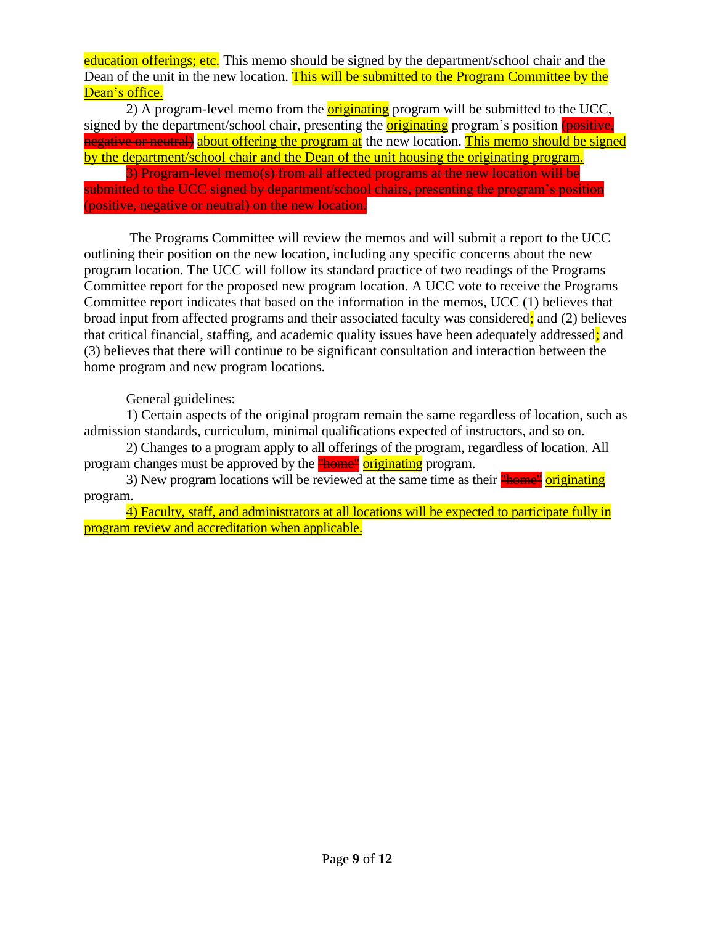education offerings; etc. This memo should be signed by the department/school chair and the Dean of the unit in the new location. This will be submitted to the Program Committee by the Dean's office.

2) A program-level memo from the **originating** program will be submitted to the UCC, signed by the department/school chair, presenting the **originating** program's position (positive, negative or neutral) about offering the program at the new location. This memo should be signed by the department/school chair and the Dean of the unit housing the originating program.

3) Program-level memo(s) from all affected programs at the new location will be submitted to the UCC signed by department/school chairs, presenting the program's position (positive, negative or neutral) on the new location.

The Programs Committee will review the memos and will submit a report to the UCC outlining their position on the new location, including any specific concerns about the new program location. The UCC will follow its standard practice of two readings of the Programs Committee report for the proposed new program location. A UCC vote to receive the Programs Committee report indicates that based on the information in the memos, UCC (1) believes that broad input from affected programs and their associated faculty was considered; and (2) believes that critical financial, staffing, and academic quality issues have been adequately addressed; and (3) believes that there will continue to be significant consultation and interaction between the home program and new program locations.

General guidelines:

1) Certain aspects of the original program remain the same regardless of location, such as admission standards, curriculum, minimal qualifications expected of instructors, and so on.

2) Changes to a program apply to all offerings of the program, regardless of location. All program changes must be approved by the **"home"** originating program.

3) New program locations will be reviewed at the same time as their **"home"** originating program.

4) Faculty, staff, and administrators at all locations will be expected to participate fully in program review and accreditation when applicable.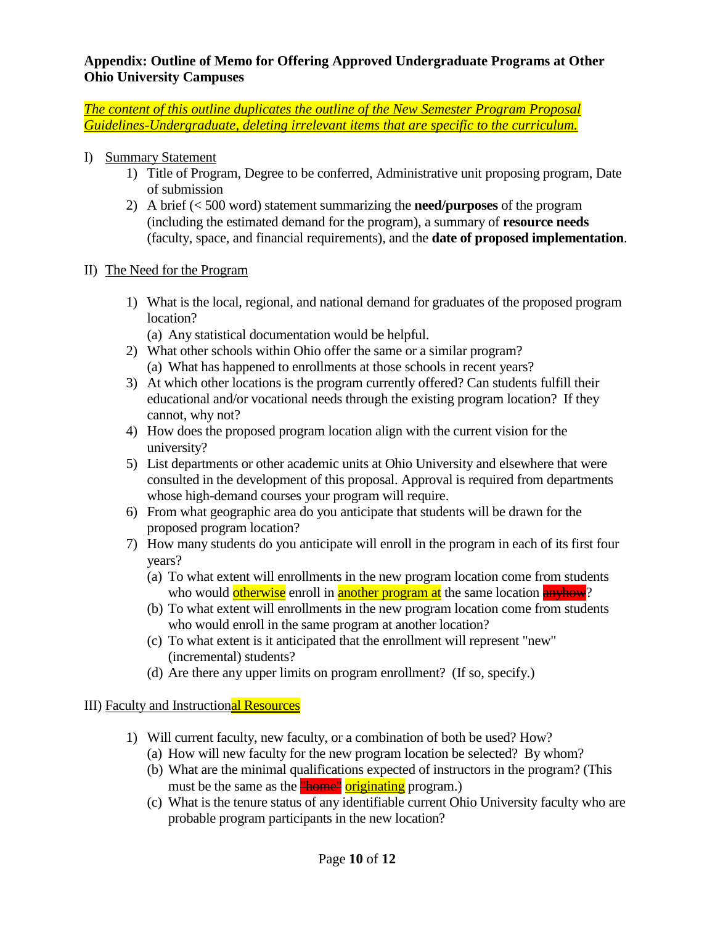### **Appendix: Outline of Memo for Offering Approved Undergraduate Programs at Other Ohio University Campuses**

*The content of this outline duplicates the outline of the New Semester Program Proposal Guidelines-Undergraduate, deleting irrelevant items that are specific to the curriculum.*

- I) Summary Statement
	- 1) Title of Program, Degree to be conferred, Administrative unit proposing program, Date of submission
	- 2) A brief (< 500 word) statement summarizing the **need/purposes** of the program (including the estimated demand for the program), a summary of **resource needs** (faculty, space, and financial requirements), and the **date of proposed implementation**.
- II) The Need for the Program
	- 1) What is the local, regional, and national demand for graduates of the proposed program location?
		- (a) Any statistical documentation would be helpful.
	- 2) What other schools within Ohio offer the same or a similar program? (a) What has happened to enrollments at those schools in recent years?
	- 3) At which other locations is the program currently offered? Can students fulfill their educational and/or vocational needs through the existing program location? If they cannot, why not?
	- 4) How does the proposed program location align with the current vision for the university?
	- 5) List departments or other academic units at Ohio University and elsewhere that were consulted in the development of this proposal. Approval is required from departments whose high-demand courses your program will require.
	- 6) From what geographic area do you anticipate that students will be drawn for the proposed program location?
	- 7) How many students do you anticipate will enroll in the program in each of its first four years?
		- (a) To what extent will enrollments in the new program location come from students who would otherwise enroll in another program at the same location **anyhow**?
		- (b) To what extent will enrollments in the new program location come from students who would enroll in the same program at another location?
		- (c) To what extent is it anticipated that the enrollment will represent "new" (incremental) students?
		- (d) Are there any upper limits on program enrollment? (If so, specify.)

## III) Faculty and Instructional Resources

- 1) Will current faculty, new faculty, or a combination of both be used? How?
	- (a) How will new faculty for the new program location be selected? By whom?
	- (b) What are the minimal qualifications expected of instructors in the program? (This must be the same as the **"home"** originating program.)
	- (c) What is the tenure status of any identifiable current Ohio University faculty who are probable program participants in the new location?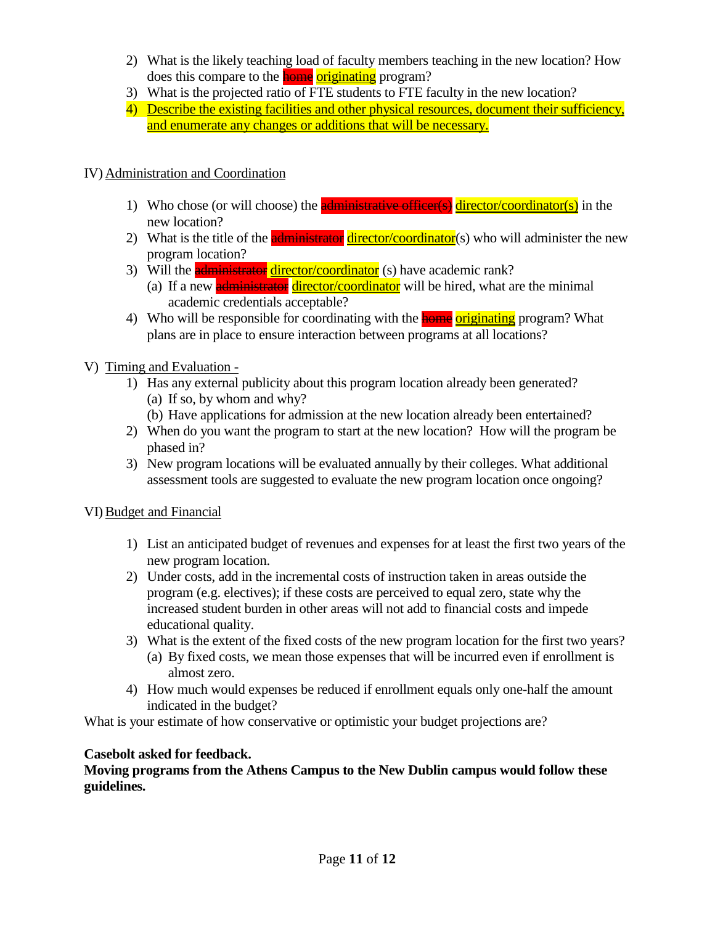- 2) What is the likely teaching load of faculty members teaching in the new location? How does this compare to the **home** originating program?
- 3) What is the projected ratio of FTE students to FTE faculty in the new location?
- 4) Describe the existing facilities and other physical resources, document their sufficiency, and enumerate any changes or additions that will be necessary.

# IV) Administration and Coordination

- 1) Who chose (or will choose) the **administrative officer(s)** director/coordinator(s) in the new location?
- 2) What is the title of the **administrator** director/coordinator(s) who will administer the new program location?
- 3) Will the **administrator director/coordinator** (s) have academic rank?
	- (a) If a new **administrator** director/coordinator will be hired, what are the minimal academic credentials acceptable?
- 4) Who will be responsible for coordinating with the **home originating** program? What plans are in place to ensure interaction between programs at all locations?
- V) Timing and Evaluation
	- 1) Has any external publicity about this program location already been generated? (a) If so, by whom and why?
		- (b) Have applications for admission at the new location already been entertained?
	- 2) When do you want the program to start at the new location? How will the program be phased in?
	- 3) New program locations will be evaluated annually by their colleges. What additional assessment tools are suggested to evaluate the new program location once ongoing?

## VI)Budget and Financial

- 1) List an anticipated budget of revenues and expenses for at least the first two years of the new program location.
- 2) Under costs, add in the incremental costs of instruction taken in areas outside the program (e.g. electives); if these costs are perceived to equal zero, state why the increased student burden in other areas will not add to financial costs and impede educational quality.
- 3) What is the extent of the fixed costs of the new program location for the first two years? (a) By fixed costs, we mean those expenses that will be incurred even if enrollment is
	- almost zero.
- 4) How much would expenses be reduced if enrollment equals only one-half the amount indicated in the budget?

What is your estimate of how conservative or optimistic your budget projections are?

# **Casebolt asked for feedback.**

**Moving programs from the Athens Campus to the New Dublin campus would follow these guidelines.**